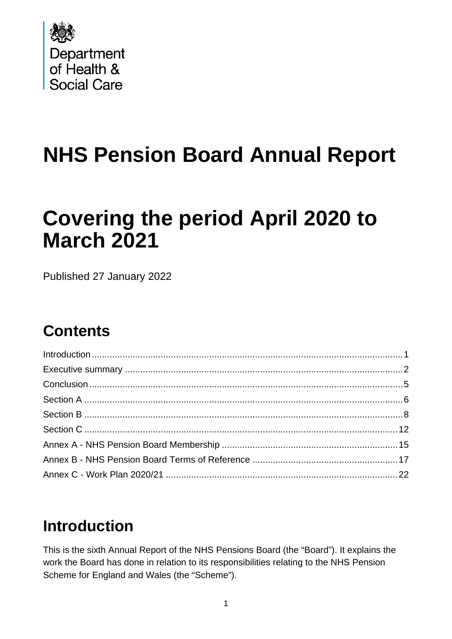

# **NHS Pension Board Annual Report**

# **Covering the period April 2020 to March 2021**

Published 27 January 2022

## **Contents**

## <span id="page-0-0"></span>**Introduction**

This is the sixth Annual Report of the NHS Pensions Board (the "Board"). It explains the work the Board has done in relation to its responsibilities relating to the NHS Pension Scheme for England and Wales (the "Scheme").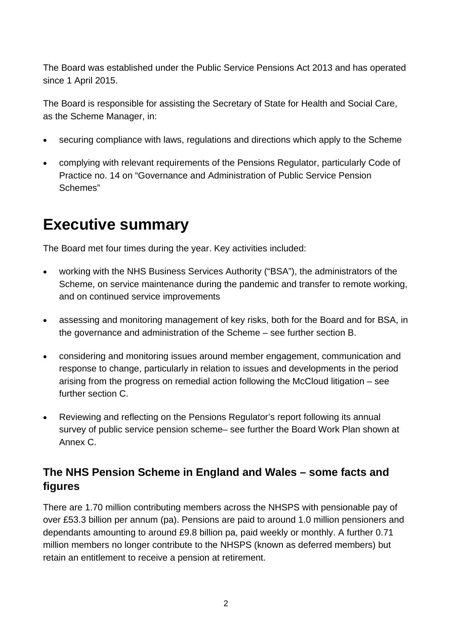The Board was established under the Public Service Pensions Act 2013 and has operated since 1 April 2015.

The Board is responsible for assisting the Secretary of State for Health and Social Care, as the Scheme Manager, in:

- securing compliance with laws, regulations and directions which apply to the Scheme
- complying with relevant requirements of the Pensions Regulator, particularly Code of Practice no. 14 on "Governance and Administration of Public Service Pension Schemes"

## <span id="page-1-0"></span>**Executive summary**

The Board met four times during the year. Key activities included:

- working with the NHS Business Services Authority ("BSA"), the administrators of the Scheme, on service maintenance during the pandemic and transfer to remote working, and on continued service improvements
- assessing and monitoring management of key risks, both for the Board and for BSA, in the governance and administration of the Scheme – see further section B.
- considering and monitoring issues around member engagement, communication and response to change, particularly in relation to issues and developments in the period arising from the progress on remedial action following the McCloud litigation – see further section C.
- Reviewing and reflecting on the Pensions Regulator's report following its annual survey of public service pension scheme– see further the Board Work Plan shown at Annex C.

## **The NHS Pension Scheme in England and Wales – some facts and figures**

There are 1.70 million contributing members across the NHSPS with pensionable pay of over £53.3 billion per annum (pa). Pensions are paid to around 1.0 million pensioners and dependants amounting to around £9.8 billion pa, paid weekly or monthly. A further 0.71 million members no longer contribute to the NHSPS (known as deferred members) but retain an entitlement to receive a pension at retirement.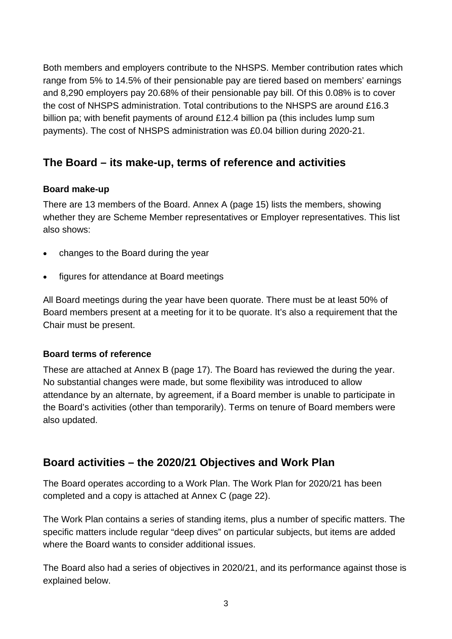Both members and employers contribute to the NHSPS. Member contribution rates which range from 5% to 14.5% of their pensionable pay are tiered based on members' earnings and 8,290 employers pay 20.68% of their pensionable pay bill. Of this 0.08% is to cover the cost of NHSPS administration. Total contributions to the NHSPS are around £16.3 billion pa; with benefit payments of around £12.4 billion pa (this includes lump sum payments). The cost of NHSPS administration was £0.04 billion during 2020-21.

## **The Board – its make-up, terms of reference and activities**

#### **Board make-up**

There are 13 members of the Board. Annex A (page 15) lists the members, showing whether they are Scheme Member representatives or Employer representatives. This list also shows:

- changes to the Board during the year
- figures for attendance at Board meetings

All Board meetings during the year have been quorate. There must be at least 50% of Board members present at a meeting for it to be quorate. It's also a requirement that the Chair must be present.

#### **Board terms of reference**

These are attached at Annex B (page 17). The Board has reviewed the during the year. No substantial changes were made, but some flexibility was introduced to allow attendance by an alternate, by agreement, if a Board member is unable to participate in the Board's activities (other than temporarily). Terms on tenure of Board members were also updated.

## **Board activities – the 2020/21 Objectives and Work Plan**

The Board operates according to a Work Plan. The Work Plan for 2020/21 has been completed and a copy is attached at Annex C (page 22).

The Work Plan contains a series of standing items, plus a number of specific matters. The specific matters include regular "deep dives" on particular subjects, but items are added where the Board wants to consider additional issues.

The Board also had a series of objectives in 2020/21, and its performance against those is explained below.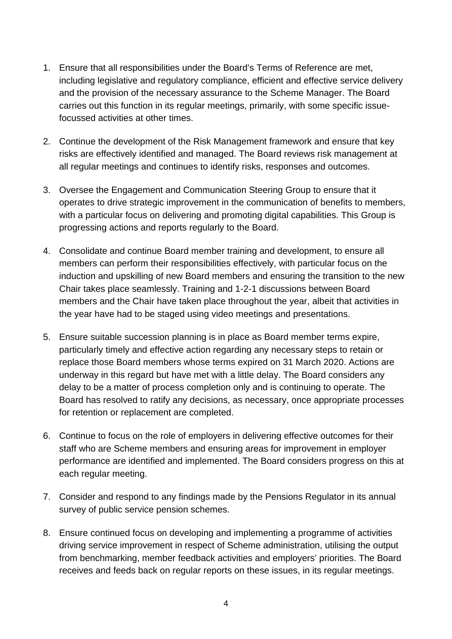- 1. Ensure that all responsibilities under the Board's Terms of Reference are met, including legislative and regulatory compliance, efficient and effective service delivery and the provision of the necessary assurance to the Scheme Manager. The Board carries out this function in its regular meetings, primarily, with some specific issuefocussed activities at other times.
- 2. Continue the development of the Risk Management framework and ensure that key risks are effectively identified and managed. The Board reviews risk management at all regular meetings and continues to identify risks, responses and outcomes.
- 3. Oversee the Engagement and Communication Steering Group to ensure that it operates to drive strategic improvement in the communication of benefits to members, with a particular focus on delivering and promoting digital capabilities. This Group is progressing actions and reports regularly to the Board.
- 4. Consolidate and continue Board member training and development, to ensure all members can perform their responsibilities effectively, with particular focus on the induction and upskilling of new Board members and ensuring the transition to the new Chair takes place seamlessly. Training and 1-2-1 discussions between Board members and the Chair have taken place throughout the year, albeit that activities in the year have had to be staged using video meetings and presentations.
- 5. Ensure suitable succession planning is in place as Board member terms expire, particularly timely and effective action regarding any necessary steps to retain or replace those Board members whose terms expired on 31 March 2020. Actions are underway in this regard but have met with a little delay. The Board considers any delay to be a matter of process completion only and is continuing to operate. The Board has resolved to ratify any decisions, as necessary, once appropriate processes for retention or replacement are completed.
- 6. Continue to focus on the role of employers in delivering effective outcomes for their staff who are Scheme members and ensuring areas for improvement in employer performance are identified and implemented. The Board considers progress on this at each regular meeting.
- 7. Consider and respond to any findings made by the Pensions Regulator in its annual survey of public service pension schemes.
- 8. Ensure continued focus on developing and implementing a programme of activities driving service improvement in respect of Scheme administration, utilising the output from benchmarking, member feedback activities and employers' priorities. The Board receives and feeds back on regular reports on these issues, in its regular meetings.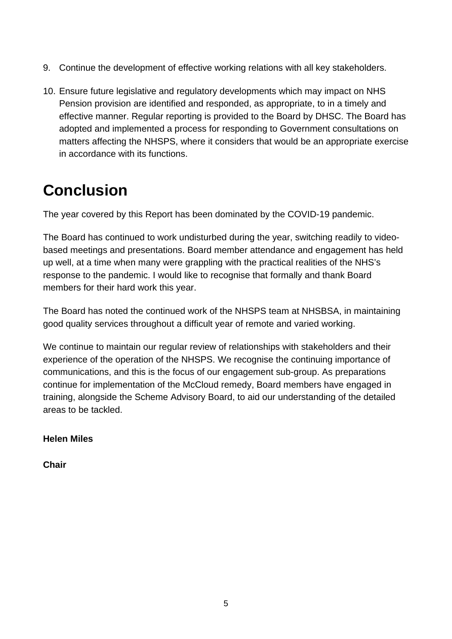- 9. Continue the development of effective working relations with all key stakeholders.
- 10. Ensure future legislative and regulatory developments which may impact on NHS Pension provision are identified and responded, as appropriate, to in a timely and effective manner. Regular reporting is provided to the Board by DHSC. The Board has adopted and implemented a process for responding to Government consultations on matters affecting the NHSPS, where it considers that would be an appropriate exercise in accordance with its functions.

## <span id="page-4-0"></span>**Conclusion**

The year covered by this Report has been dominated by the COVID-19 pandemic.

The Board has continued to work undisturbed during the year, switching readily to videobased meetings and presentations. Board member attendance and engagement has held up well, at a time when many were grappling with the practical realities of the NHS's response to the pandemic. I would like to recognise that formally and thank Board members for their hard work this year.

The Board has noted the continued work of the NHSPS team at NHSBSA, in maintaining good quality services throughout a difficult year of remote and varied working.

We continue to maintain our regular review of relationships with stakeholders and their experience of the operation of the NHSPS. We recognise the continuing importance of communications, and this is the focus of our engagement sub-group. As preparations continue for implementation of the McCloud remedy, Board members have engaged in training, alongside the Scheme Advisory Board, to aid our understanding of the detailed areas to be tackled.

#### **Helen Miles**

**Chair**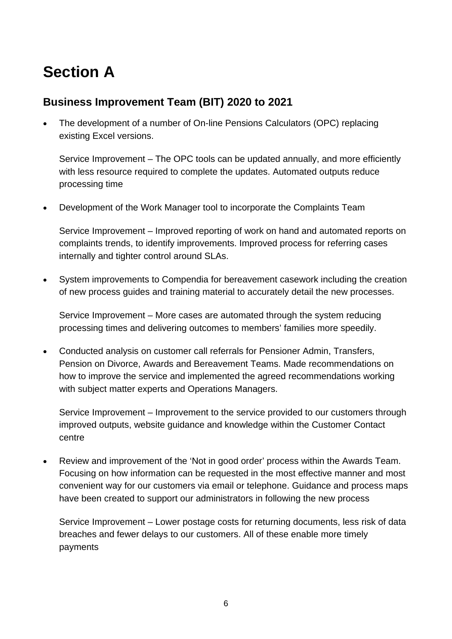## <span id="page-5-0"></span>**Section A**

## **Business Improvement Team (BIT) 2020 to 2021**

• The development of a number of On-line Pensions Calculators (OPC) replacing existing Excel versions.

Service Improvement – The OPC tools can be updated annually, and more efficiently with less resource required to complete the updates. Automated outputs reduce processing time

• Development of the Work Manager tool to incorporate the Complaints Team

Service Improvement – Improved reporting of work on hand and automated reports on complaints trends, to identify improvements. Improved process for referring cases internally and tighter control around SLAs.

• System improvements to Compendia for bereavement casework including the creation of new process guides and training material to accurately detail the new processes.

Service Improvement – More cases are automated through the system reducing processing times and delivering outcomes to members' families more speedily.

• Conducted analysis on customer call referrals for Pensioner Admin, Transfers, Pension on Divorce, Awards and Bereavement Teams. Made recommendations on how to improve the service and implemented the agreed recommendations working with subject matter experts and Operations Managers.

Service Improvement – Improvement to the service provided to our customers through improved outputs, website guidance and knowledge within the Customer Contact centre

• Review and improvement of the 'Not in good order' process within the Awards Team. Focusing on how information can be requested in the most effective manner and most convenient way for our customers via email or telephone. Guidance and process maps have been created to support our administrators in following the new process

Service Improvement – Lower postage costs for returning documents, less risk of data breaches and fewer delays to our customers. All of these enable more timely payments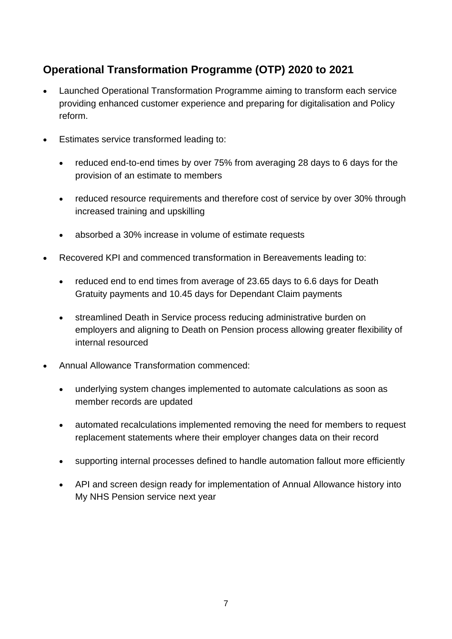## **Operational Transformation Programme (OTP) 2020 to 2021**

- Launched Operational Transformation Programme aiming to transform each service providing enhanced customer experience and preparing for digitalisation and Policy reform.
- Estimates service transformed leading to:
	- reduced end-to-end times by over 75% from averaging 28 days to 6 days for the provision of an estimate to members
	- reduced resource requirements and therefore cost of service by over 30% through increased training and upskilling
	- absorbed a 30% increase in volume of estimate requests
- Recovered KPI and commenced transformation in Bereavements leading to:
	- reduced end to end times from average of 23.65 days to 6.6 days for Death Gratuity payments and 10.45 days for Dependant Claim payments
	- streamlined Death in Service process reducing administrative burden on employers and aligning to Death on Pension process allowing greater flexibility of internal resourced
- Annual Allowance Transformation commenced:
	- underlying system changes implemented to automate calculations as soon as member records are updated
	- automated recalculations implemented removing the need for members to request replacement statements where their employer changes data on their record
	- supporting internal processes defined to handle automation fallout more efficiently
	- API and screen design ready for implementation of Annual Allowance history into My NHS Pension service next year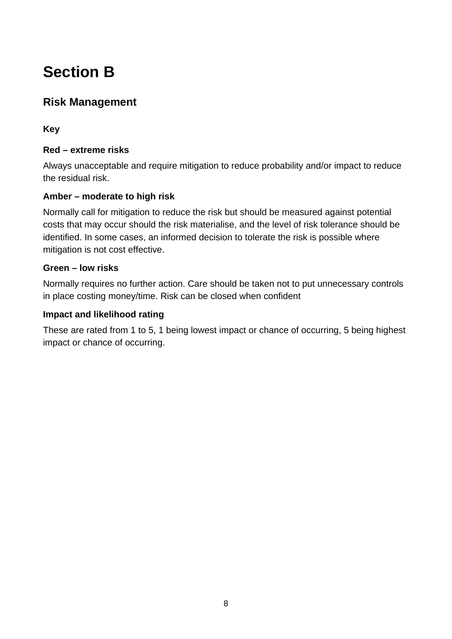## <span id="page-7-0"></span>**Section B**

## **Risk Management**

**Key** 

#### **Red – extreme risks**

Always unacceptable and require mitigation to reduce probability and/or impact to reduce the residual risk.

#### **Amber – moderate to high risk**

Normally call for mitigation to reduce the risk but should be measured against potential costs that may occur should the risk materialise, and the level of risk tolerance should be identified. In some cases, an informed decision to tolerate the risk is possible where mitigation is not cost effective.

#### **Green – low risks**

Normally requires no further action. Care should be taken not to put unnecessary controls in place costing money/time. Risk can be closed when confident

#### **Impact and likelihood rating**

These are rated from 1 to 5, 1 being lowest impact or chance of occurring, 5 being highest impact or chance of occurring.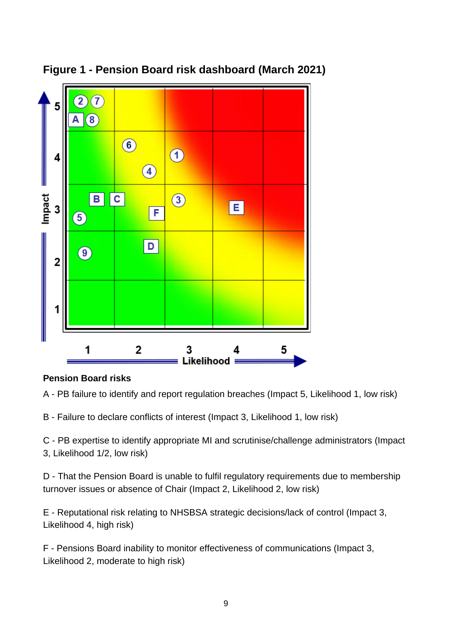

## **Figure 1 - Pension Board risk dashboard (March 2021)**

### **Pension Board risks**

A - PB failure to identify and report regulation breaches (Impact 5, Likelihood 1, low risk)

B - Failure to declare conflicts of interest (Impact 3, Likelihood 1, low risk)

C - PB expertise to identify appropriate MI and scrutinise/challenge administrators (Impact 3, Likelihood 1/2, low risk)

D - That the Pension Board is unable to fulfil regulatory requirements due to membership turnover issues or absence of Chair (Impact 2, Likelihood 2, low risk)

E - Reputational risk relating to NHSBSA strategic decisions/lack of control (Impact 3, Likelihood 4, high risk)

F - Pensions Board inability to monitor effectiveness of communications (Impact 3, Likelihood 2, moderate to high risk)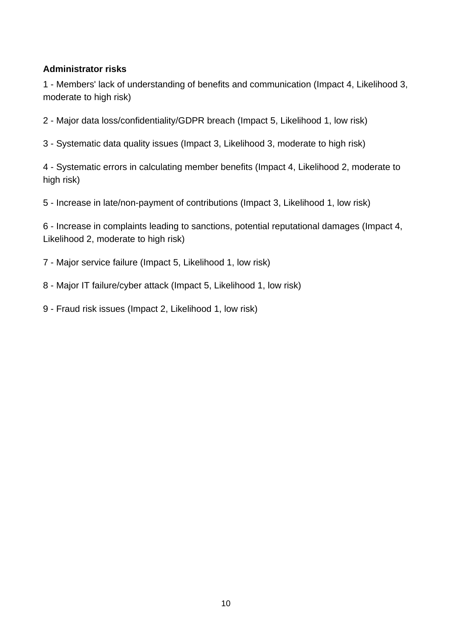#### **Administrator risks**

 - Members' lack of understanding of benefits and communication (Impact 4, Likelihood 3, moderate to high risk)

- Major data loss/confidentiality/GDPR breach (Impact 5, Likelihood 1, low risk)

- Systematic data quality issues (Impact 3, Likelihood 3, moderate to high risk)

 - Systematic errors in calculating member benefits (Impact 4, Likelihood 2, moderate to high risk)

- Increase in late/non-payment of contributions (Impact 3, Likelihood 1, low risk)

 - Increase in complaints leading to sanctions, potential reputational damages (Impact 4, Likelihood 2, moderate to high risk)

- Major service failure (Impact 5, Likelihood 1, low risk)

- Major IT failure/cyber attack (Impact 5, Likelihood 1, low risk)

- Fraud risk issues (Impact 2, Likelihood 1, low risk)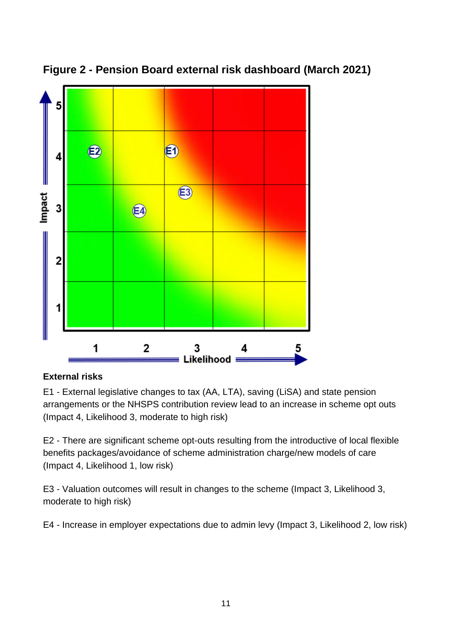![](_page_10_Figure_0.jpeg)

## **Figure 2 - Pension Board external risk dashboard (March 2021)**

### **External risks**

E1 - External legislative changes to tax (AA, LTA), saving (LiSA) and state pension arrangements or the NHSPS contribution review lead to an increase in scheme opt outs (Impact 4, Likelihood 3, moderate to high risk)

E2 - There are significant scheme opt-outs resulting from the introductive of local flexible benefits packages/avoidance of scheme administration charge/new models of care (Impact 4, Likelihood 1, low risk)

E3 - Valuation outcomes will result in changes to the scheme (Impact 3, Likelihood 3, moderate to high risk)

E4 - Increase in employer expectations due to admin levy (Impact 3, Likelihood 2, low risk)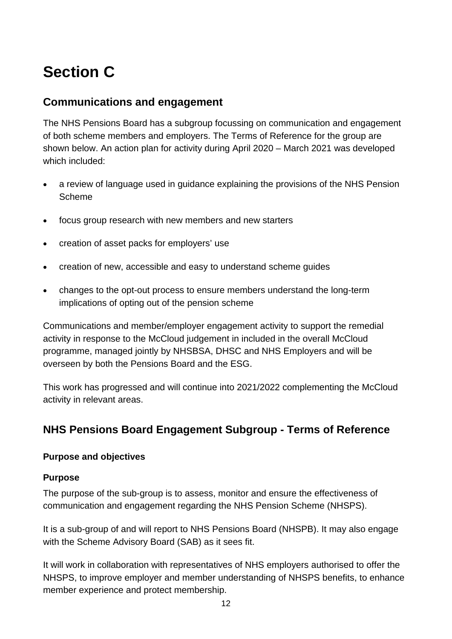## <span id="page-11-0"></span>**Section C**

### **Communications and engagement**

The NHS Pensions Board has a subgroup focussing on communication and engagement of both scheme members and employers. The Terms of Reference for the group are shown below. An action plan for activity during April 2020 – March 2021 was developed which included:

- a review of language used in guidance explaining the provisions of the NHS Pension Scheme
- focus group research with new members and new starters
- creation of asset packs for employers' use
- creation of new, accessible and easy to understand scheme guides
- changes to the opt-out process to ensure members understand the long-term implications of opting out of the pension scheme

Communications and member/employer engagement activity to support the remedial activity in response to the McCloud judgement in included in the overall McCloud programme, managed jointly by NHSBSA, DHSC and NHS Employers and will be overseen by both the Pensions Board and the ESG.

This work has progressed and will continue into 2021/2022 complementing the McCloud activity in relevant areas.

## **NHS Pensions Board Engagement Subgroup - Terms of Reference**

#### **Purpose and objectives**

#### **Purpose**

The purpose of the sub-group is to assess, monitor and ensure the effectiveness of communication and engagement regarding the NHS Pension Scheme (NHSPS).

It is a sub-group of and will report to NHS Pensions Board (NHSPB). It may also engage with the Scheme Advisory Board (SAB) as it sees fit.

It will work in collaboration with representatives of NHS employers authorised to offer the NHSPS, to improve employer and member understanding of NHSPS benefits, to enhance member experience and protect membership.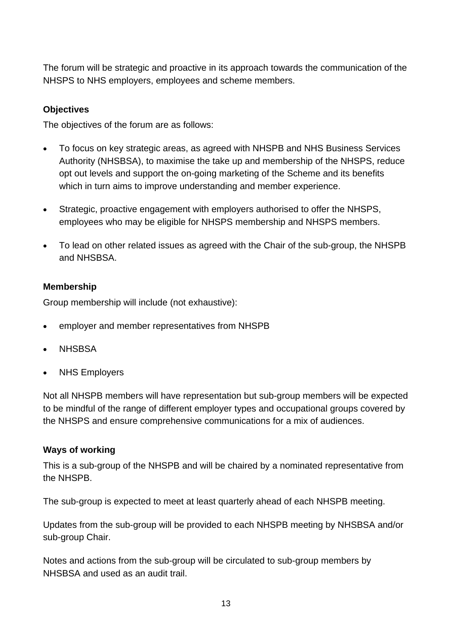The forum will be strategic and proactive in its approach towards the communication of the NHSPS to NHS employers, employees and scheme members.

#### **Objectives**

The objectives of the forum are as follows:

- To focus on key strategic areas, as agreed with NHSPB and NHS Business Services Authority (NHSBSA), to maximise the take up and membership of the NHSPS, reduce opt out levels and support the on-going marketing of the Scheme and its benefits which in turn aims to improve understanding and member experience.
- Strategic, proactive engagement with employers authorised to offer the NHSPS, employees who may be eligible for NHSPS membership and NHSPS members.
- To lead on other related issues as agreed with the Chair of the sub-group, the NHSPB and NHSBSA.

#### **Membership**

Group membership will include (not exhaustive):

- employer and member representatives from NHSPB
- NHSBSA
- **NHS Employers**

Not all NHSPB members will have representation but sub-group members will be expected to be mindful of the range of different employer types and occupational groups covered by the NHSPS and ensure comprehensive communications for a mix of audiences.

#### **Ways of working**

This is a sub-group of the NHSPB and will be chaired by a nominated representative from the NHSPB.

The sub-group is expected to meet at least quarterly ahead of each NHSPB meeting.

Updates from the sub-group will be provided to each NHSPB meeting by NHSBSA and/or sub-group Chair.

Notes and actions from the sub-group will be circulated to sub-group members by NHSBSA and used as an audit trail.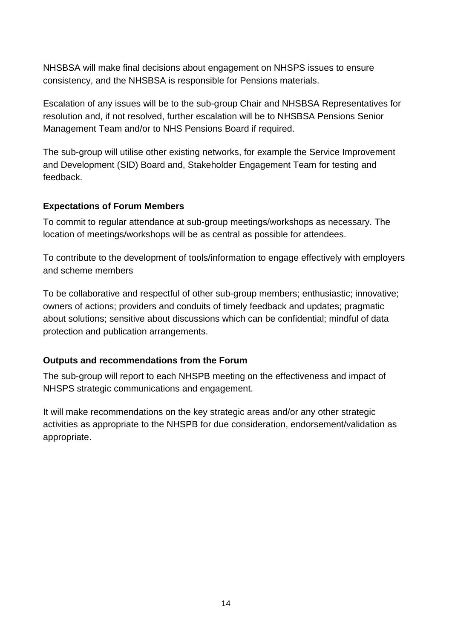NHSBSA will make final decisions about engagement on NHSPS issues to ensure consistency, and the NHSBSA is responsible for Pensions materials.

Escalation of any issues will be to the sub-group Chair and NHSBSA Representatives for resolution and, if not resolved, further escalation will be to NHSBSA Pensions Senior Management Team and/or to NHS Pensions Board if required.

The sub-group will utilise other existing networks, for example the Service Improvement and Development (SID) Board and, Stakeholder Engagement Team for testing and feedback.

#### **Expectations of Forum Members**

To commit to regular attendance at sub-group meetings/workshops as necessary. The location of meetings/workshops will be as central as possible for attendees.

To contribute to the development of tools/information to engage effectively with employers and scheme members

To be collaborative and respectful of other sub-group members; enthusiastic; innovative; owners of actions; providers and conduits of timely feedback and updates; pragmatic about solutions; sensitive about discussions which can be confidential; mindful of data protection and publication arrangements.

#### **Outputs and recommendations from the Forum**

The sub-group will report to each NHSPB meeting on the effectiveness and impact of NHSPS strategic communications and engagement.

It will make recommendations on the key strategic areas and/or any other strategic activities as appropriate to the NHSPB for due consideration, endorsement/validation as appropriate.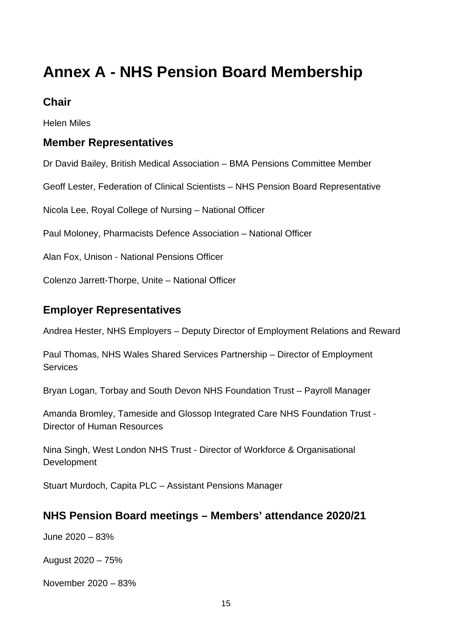## <span id="page-14-0"></span>**Annex A - NHS Pension Board Membership**

### **Chair**

Helen Miles

## **Member Representatives**

Dr David Bailey, British Medical Association – BMA Pensions Committee Member

Geoff Lester, Federation of Clinical Scientists – NHS Pension Board Representative

Nicola Lee, Royal College of Nursing – National Officer

Paul Moloney, Pharmacists Defence Association – National Officer

Alan Fox, Unison - National Pensions Officer

Colenzo Jarrett-Thorpe, Unite – National Officer

### **Employer Representatives**

Andrea Hester, NHS Employers – Deputy Director of Employment Relations and Reward

Paul Thomas, NHS Wales Shared Services Partnership – Director of Employment Services

Bryan Logan, Torbay and South Devon NHS Foundation Trust – Payroll Manager

Amanda Bromley, Tameside and Glossop Integrated Care NHS Foundation Trust - Director of Human Resources

Nina Singh, West London NHS Trust - Director of Workforce & Organisational **Development** 

Stuart Murdoch, Capita PLC – Assistant Pensions Manager

### **NHS Pension Board meetings – Members' attendance 2020/21**

June 2020 – 83%

August 2020 – 75%

November 2020 – 83%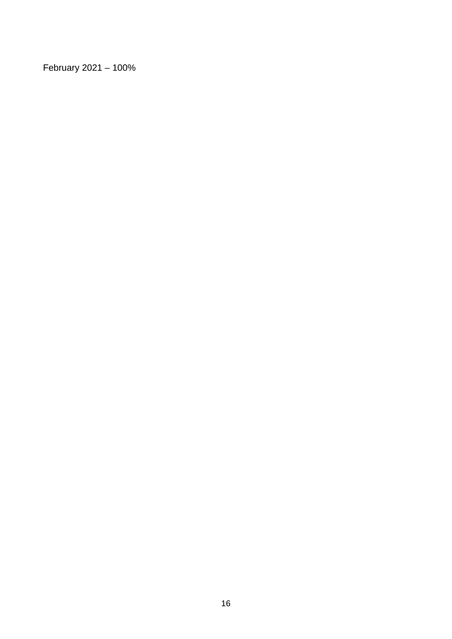February 2021 – 100%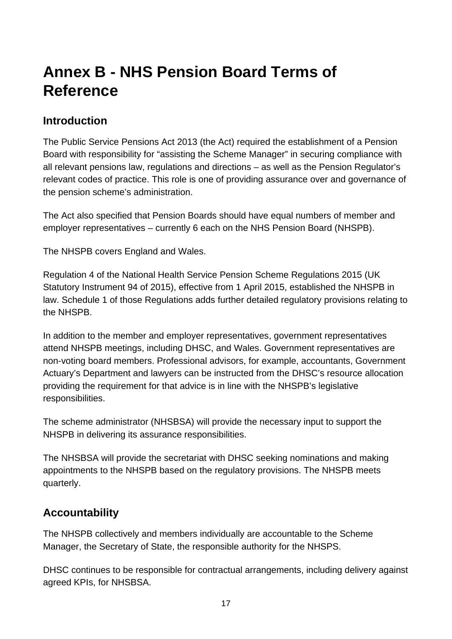## <span id="page-16-0"></span>**Annex B - NHS Pension Board Terms of Reference**

## **Introduction**

The Public Service Pensions Act 2013 (the Act) required the establishment of a Pension Board with responsibility for "assisting the Scheme Manager" in securing compliance with all relevant pensions law, regulations and directions – as well as the Pension Regulator's relevant codes of practice. This role is one of providing assurance over and governance of the pension scheme's administration.

The Act also specified that Pension Boards should have equal numbers of member and employer representatives – currently 6 each on the NHS Pension Board (NHSPB).

The NHSPB covers England and Wales.

Regulation 4 of the National Health Service Pension Scheme Regulations 2015 (UK Statutory Instrument 94 of 2015), effective from 1 April 2015, established the NHSPB in law. Schedule 1 of those Regulations adds further detailed regulatory provisions relating to the NHSPB.

In addition to the member and employer representatives, government representatives attend NHSPB meetings, including DHSC, and Wales. Government representatives are non-voting board members. Professional advisors, for example, accountants, Government Actuary's Department and lawyers can be instructed from the DHSC's resource allocation providing the requirement for that advice is in line with the NHSPB's legislative responsibilities.

The scheme administrator (NHSBSA) will provide the necessary input to support the NHSPB in delivering its assurance responsibilities.

The NHSBSA will provide the secretariat with DHSC seeking nominations and making appointments to the NHSPB based on the regulatory provisions. The NHSPB meets quarterly.

## **Accountability**

The NHSPB collectively and members individually are accountable to the Scheme Manager, the Secretary of State, the responsible authority for the NHSPS.

DHSC continues to be responsible for contractual arrangements, including delivery against agreed KPIs, for NHSBSA.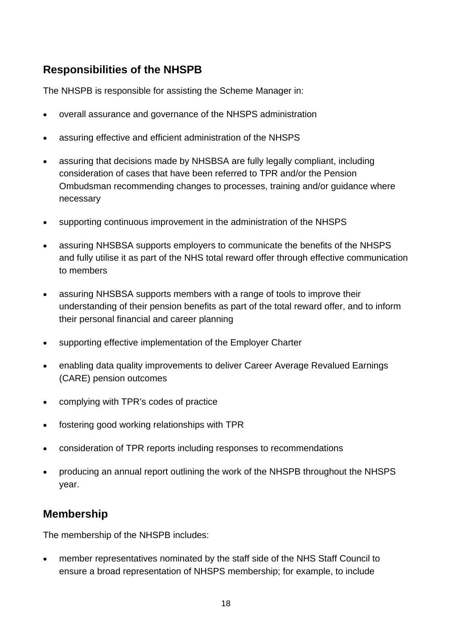## **Responsibilities of the NHSPB**

The NHSPB is responsible for assisting the Scheme Manager in:

- overall assurance and governance of the NHSPS administration
- assuring effective and efficient administration of the NHSPS
- assuring that decisions made by NHSBSA are fully legally compliant, including consideration of cases that have been referred to TPR and/or the Pension Ombudsman recommending changes to processes, training and/or guidance where necessary
- supporting continuous improvement in the administration of the NHSPS
- assuring NHSBSA supports employers to communicate the benefits of the NHSPS and fully utilise it as part of the NHS total reward offer through effective communication to members
- assuring NHSBSA supports members with a range of tools to improve their understanding of their pension benefits as part of the total reward offer, and to inform their personal financial and career planning
- supporting effective implementation of the Employer Charter
- enabling data quality improvements to deliver Career Average Revalued Earnings (CARE) pension outcomes
- complying with TPR's codes of practice
- fostering good working relationships with TPR
- consideration of TPR reports including responses to recommendations
- producing an annual report outlining the work of the NHSPB throughout the NHSPS year.

## **Membership**

The membership of the NHSPB includes:

• member representatives nominated by the staff side of the NHS Staff Council to ensure a broad representation of NHSPS membership; for example, to include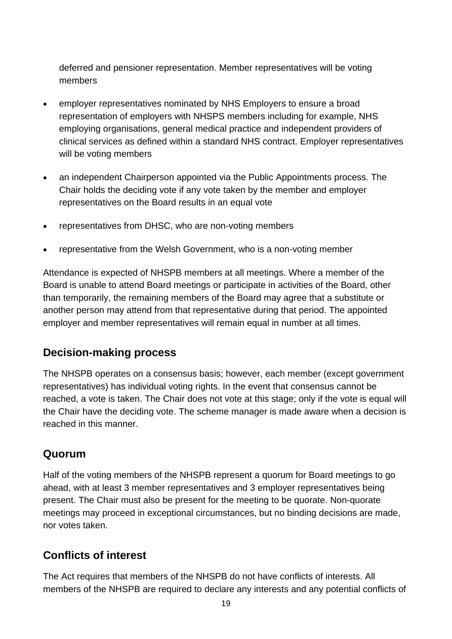deferred and pensioner representation. Member representatives will be voting members

- employer representatives nominated by NHS Employers to ensure a broad representation of employers with NHSPS members including for example, NHS employing organisations, general medical practice and independent providers of clinical services as defined within a standard NHS contract. Employer representatives will be voting members
- an independent Chairperson appointed via the Public Appointments process. The Chair holds the deciding vote if any vote taken by the member and employer representatives on the Board results in an equal vote
- representatives from DHSC, who are non-voting members
- representative from the Welsh Government, who is a non-voting member

Attendance is expected of NHSPB members at all meetings. Where a member of the Board is unable to attend Board meetings or participate in activities of the Board, other than temporarily, the remaining members of the Board may agree that a substitute or another person may attend from that representative during that period. The appointed employer and member representatives will remain equal in number at all times.

## **Decision-making process**

The NHSPB operates on a consensus basis; however, each member (except government representatives) has individual voting rights. In the event that consensus cannot be reached, a vote is taken. The Chair does not vote at this stage; only if the vote is equal will the Chair have the deciding vote. The scheme manager is made aware when a decision is reached in this manner.

### **Quorum**

Half of the voting members of the NHSPB represent a quorum for Board meetings to go ahead, with at least 3 member representatives and 3 employer representatives being present. The Chair must also be present for the meeting to be quorate. Non-quorate meetings may proceed in exceptional circumstances, but no binding decisions are made, nor votes taken.

## **Conflicts of interest**

The Act requires that members of the NHSPB do not have conflicts of interests. All members of the NHSPB are required to declare any interests and any potential conflicts of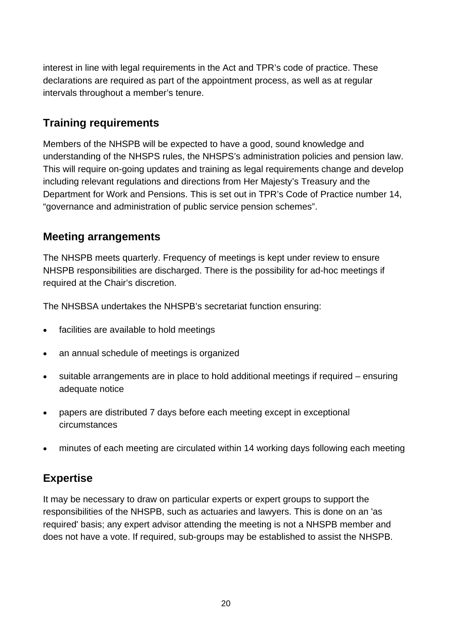interest in line with legal requirements in the Act and TPR's code of practice. These declarations are required as part of the appointment process, as well as at regular intervals throughout a member's tenure.

## **Training requirements**

Members of the NHSPB will be expected to have a good, sound knowledge and understanding of the NHSPS rules, the NHSPS's administration policies and pension law. This will require on-going updates and training as legal requirements change and develop including relevant regulations and directions from Her Majesty's Treasury and the Department for Work and Pensions. This is set out in TPR's Code of Practice number 14, "governance and administration of public service pension schemes".

## **Meeting arrangements**

The NHSPB meets quarterly. Frequency of meetings is kept under review to ensure NHSPB responsibilities are discharged. There is the possibility for ad-hoc meetings if required at the Chair's discretion.

The NHSBSA undertakes the NHSPB's secretariat function ensuring:

- facilities are available to hold meetings
- an annual schedule of meetings is organized
- suitable arrangements are in place to hold additional meetings if required ensuring adequate notice
- papers are distributed 7 days before each meeting except in exceptional circumstances
- minutes of each meeting are circulated within 14 working days following each meeting

### **Expertise**

It may be necessary to draw on particular experts or expert groups to support the responsibilities of the NHSPB, such as actuaries and lawyers. This is done on an 'as required' basis; any expert advisor attending the meeting is not a NHSPB member and does not have a vote. If required, sub-groups may be established to assist the NHSPB.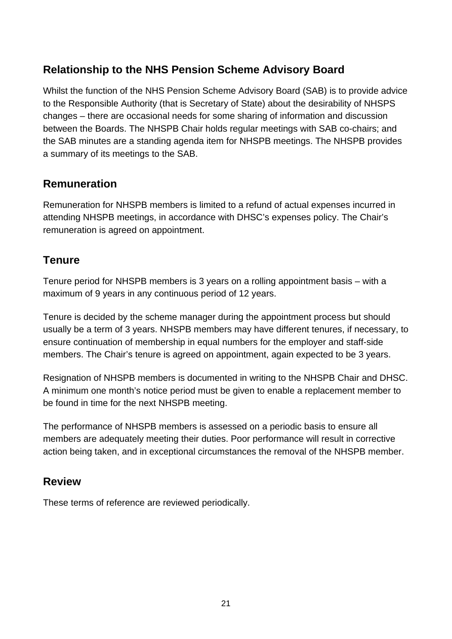## **Relationship to the NHS Pension Scheme Advisory Board**

Whilst the function of the NHS Pension Scheme Advisory Board (SAB) is to provide advice to the Responsible Authority (that is Secretary of State) about the desirability of NHSPS changes – there are occasional needs for some sharing of information and discussion between the Boards. The NHSPB Chair holds regular meetings with SAB co-chairs; and the SAB minutes are a standing agenda item for NHSPB meetings. The NHSPB provides a summary of its meetings to the SAB.

## **Remuneration**

Remuneration for NHSPB members is limited to a refund of actual expenses incurred in attending NHSPB meetings, in accordance with DHSC's expenses policy. The Chair's remuneration is agreed on appointment.

## **Tenure**

Tenure period for NHSPB members is 3 years on a rolling appointment basis – with a maximum of 9 years in any continuous period of 12 years.

Tenure is decided by the scheme manager during the appointment process but should usually be a term of 3 years. NHSPB members may have different tenures, if necessary, to ensure continuation of membership in equal numbers for the employer and staff-side members. The Chair's tenure is agreed on appointment, again expected to be 3 years.

Resignation of NHSPB members is documented in writing to the NHSPB Chair and DHSC. A minimum one month's notice period must be given to enable a replacement member to be found in time for the next NHSPB meeting.

The performance of NHSPB members is assessed on a periodic basis to ensure all members are adequately meeting their duties. Poor performance will result in corrective action being taken, and in exceptional circumstances the removal of the NHSPB member.

### **Review**

These terms of reference are reviewed periodically.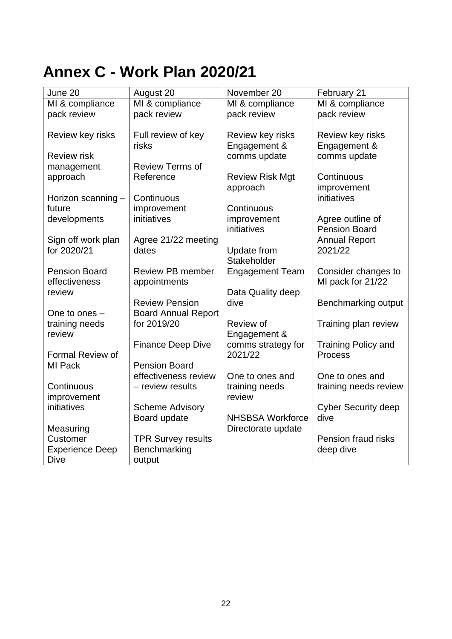## <span id="page-21-0"></span>**Annex C - Work Plan 2020/21**

| June 20                | August 20                  | November 20             | February 21                              |
|------------------------|----------------------------|-------------------------|------------------------------------------|
| MI & compliance        | MI & compliance            | MI & compliance         | MI & compliance                          |
| pack review            | pack review                | pack review             | pack review                              |
|                        |                            |                         |                                          |
| Review key risks       | Full review of key         | Review key risks        | Review key risks                         |
|                        | risks                      | Engagement &            | Engagement &                             |
| <b>Review risk</b>     |                            | comms update            | comms update                             |
| management             | <b>Review Terms of</b>     |                         |                                          |
| approach               | Reference                  | <b>Review Risk Mgt</b>  | Continuous                               |
|                        |                            | approach                | improvement                              |
| Horizon scanning -     | Continuous                 |                         | initiatives                              |
| future                 | improvement                | Continuous              |                                          |
| developments           | initiatives                | improvement             | Agree outline of                         |
|                        |                            | initiatives             | <b>Pension Board</b>                     |
| Sign off work plan     | Agree 21/22 meeting        |                         | <b>Annual Report</b>                     |
| for 2020/21            | dates                      | Update from             | 2021/22                                  |
| <b>Pension Board</b>   | <b>Review PB member</b>    | Stakeholder             |                                          |
| effectiveness          |                            | <b>Engagement Team</b>  | Consider changes to<br>MI pack for 21/22 |
| review                 | appointments               | Data Quality deep       |                                          |
|                        | <b>Review Pension</b>      | dive                    | Benchmarking output                      |
| One to ones $-$        | <b>Board Annual Report</b> |                         |                                          |
| training needs         | for 2019/20                | Review of               | Training plan review                     |
| review                 |                            | Engagement &            |                                          |
|                        | <b>Finance Deep Dive</b>   | comms strategy for      | <b>Training Policy and</b>               |
| Formal Review of       |                            | 2021/22                 | <b>Process</b>                           |
| MI Pack                | <b>Pension Board</b>       |                         |                                          |
|                        | effectiveness review       | One to ones and         | One to ones and                          |
| Continuous             | - review results           | training needs          | training needs review                    |
| improvement            |                            | review                  |                                          |
| initiatives            | <b>Scheme Advisory</b>     |                         | <b>Cyber Security deep</b>               |
|                        | Board update               | <b>NHSBSA Workforce</b> | dive                                     |
| Measuring              |                            | Directorate update      |                                          |
| Customer               | <b>TPR Survey results</b>  |                         | Pension fraud risks                      |
| <b>Experience Deep</b> | Benchmarking               |                         | deep dive                                |
| <b>Dive</b>            | output                     |                         |                                          |